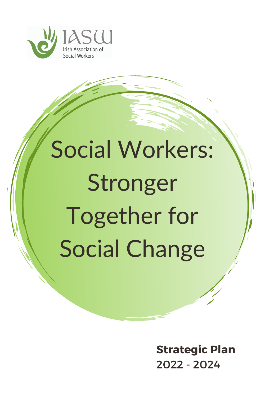

# Social Workers: Stronger Together for Social Change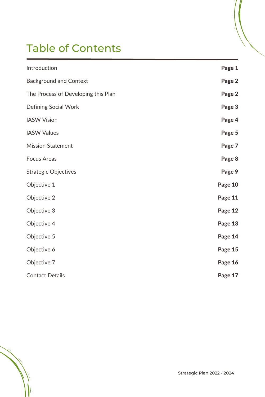# Table of Contents

| Introduction                        | Page 1  |
|-------------------------------------|---------|
| <b>Background and Context</b>       | Page 2  |
| The Process of Developing this Plan | Page 2  |
| <b>Defining Social Work</b>         | Page 3  |
| <b>IASW Vision</b>                  | Page 4  |
| <b>IASW Values</b>                  | Page 5  |
| <b>Mission Statement</b>            | Page 7  |
| <b>Focus Areas</b>                  | Page 8  |
| <b>Strategic Objectives</b>         | Page 9  |
| Objective 1                         | Page 10 |
| Objective 2                         | Page 11 |
| Objective 3                         | Page 12 |
| Objective 4                         | Page 13 |
| Objective 5                         | Page 14 |
| Objective 6                         | Page 15 |
| Objective 7                         | Page 16 |
| <b>Contact Details</b>              | Page 17 |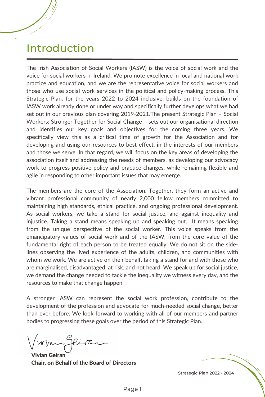### Introduction

The Irish Association of Social Workers (IASW) is the voice of social work and the voice for social workers in Ireland. We promote excellence in local and national work practice and education, and we are the representative voice for social workers and those who use social work services in the political and policy-making process. This Strategic Plan, for the years 2022 to 2024 inclusive, builds on the foundation of IASW work already done or under way and specifically further develops what we had set out in our previous plan covering 2019-2021.The present Strategic Plan – Social Workers: Stronger Together for Social Change – sets out our organisational direction and identifies our key goals and objectives for the coming three years. We specifically view this as a critical time of growth for the Association and for developing and using our resources to best effect, in the interests of our members and those we serve. In that regard, we will focus on the key areas of developing the association itself and addressing the needs of members, as developing our advocacy work to progress positive policy and practice changes, while remaining flexible and agile in responding to other important issues that may emerge.

The members are the core of the Association. Together, they form an active and vibrant professional community of nearly 2,000 fellow members committed to maintaining high standards, ethical practice, and ongoing professional development. As social workers, we take a stand for social justice, and against inequality and injustice. Taking a stand means speaking up and speaking out. It means speaking from the unique perspective of the social worker. This voice speaks from the emancipatory values of social work and of the IASW, from the core value of the fundamental right of each person to be treated equally. We do not sit on the sidelines observing the lived experience of the adults, children, and communities with whom we work. We are active on their behalf, taking a stand for and with those who are marginalised, disadvantaged, at risk, and not heard. We speak up for social justice, we demand the change needed to tackle the inequality we witness every day, and the resources to make that change happen.

A stronger IASW can represent the social work profession, contribute to the development of the profession and advocate for much-needed social change, better than ever before. We look forward to working with all of our members and partner bodies to progressing these goals over the period of this Strategic Plan.

Vivian Glira

Vivian Geiran Chair, on Behalf of the Board of Directors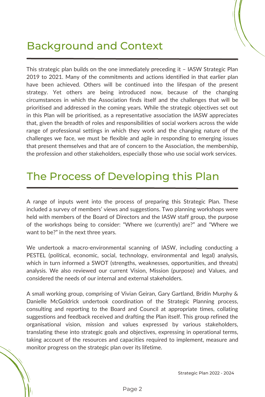### Background and Context

This strategic plan builds on the one immediately preceding it – IASW Strategic Plan 2019 to 2021. Many of the commitments and actions identified in that earlier plan have been achieved. Others will be continued into the lifespan of the present strategy. Yet others are being introduced now, because of the changing circumstances in which the Association finds itself and the challenges that will be prioritised and addressed in the coming years. While the strategic objectives set out in this Plan will be prioritised, as a representative association the IASW appreciates that, given the breadth of roles and responsibilities of social workers across the wide range of professional settings in which they work and the changing nature of the challenges we face, we must be flexible and agile in responding to emerging issues that present themselves and that are of concern to the Association, the membership, the profession and other stakeholders, especially those who use social work services.

### The Process of Developing this Plan

A range of inputs went into the process of preparing this Strategic Plan. These included a survey of members' views and suggestions. Two planning workshops were held with members of the Board of Directors and the IASW staff group, the purpose of the workshops being to consider: "Where we (currently) are?" and "Where we want to be?" in the next three years.

We undertook a macro-environmental scanning of IASW, including conducting a PESTEL (political, economic, social, technology, environmental and legal) analysis, which in turn informed a SWOT (strengths, weaknesses, opportunities, and threats) analysis. We also reviewed our current Vision, Mission (purpose) and Values, and considered the needs of our internal and external stakeholders.

A small working group, comprising of Vivian Geiran, Gary Gartland, Brídín Murphy & Danielle McGoldrick undertook coordination of the Strategic Planning process, consulting and reporting to the Board and Council at appropriate times, collating suggestions and feedback received and drafting the Plan itself. This group refined the organisational vision, mission and values expressed by various stakeholders, translating these into strategic goals and objectives, expressing in operational terms, taking account of the resources and capacities required to implement, measure and monitor progress on the strategic plan over its lifetime.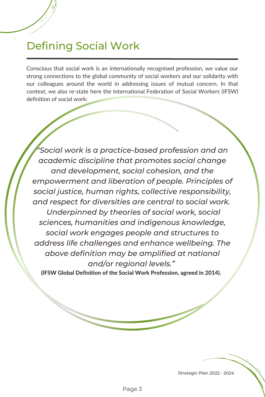# Defining Social Work

Conscious that social work is an internationally recognised profession, we value our strong connections to the global community of social workers and our solidarity with our colleagues around the world in addressing issues of mutual concern. In that context, we also re-state here the International Federation of Social Workers (IFSW) definition of social work:

*"Social work is a practice-based profession and an academic discipline that promotes social change and development, social cohesion, and the empowerment and liberation of people. Principles of social justice, human rights, collective responsibility, and respect for diversities are central to social work. Underpinned by theories of social work, social sciences, humanities and indigenous knowledge, social work engages people and structures to address life challenges and enhance wellbeing. The above definition may be amplified at national and/or regional levels."*

(IFSW Global Definition of the Social Work Profession, agreed in 2014).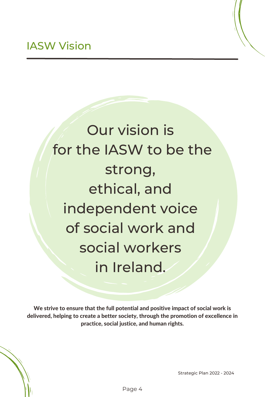Our vision is for the IASW to be the strong, ethical, and independent voice of social work and social workers in Ireland.

We strive to ensure that the full potential and positive impact of social work is delivered, helping to create a better society, through the promotion of excellence in practice, social justice, and human rights.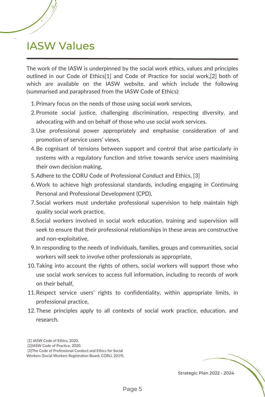### IASW Values

The work of the IASW is underpinned by the social work ethics, values and principles outlined in our Code of Ethics[1] and Code of Practice for social work,[2] both of which are available on the IASW website, and which include the following (summarised and paraphrased from the IASW Code of Ethics):

- 1. Primary focus on the needs of those using social work services,
- 2. Promote social justice, challenging discrimination, respecting diversity, and advocating with and on behalf of those who use social work services.
- 3. Use professional power appropriately and emphasise consideration of and promotion of service users' views,
- 4. Be cognisant of tensions between support and control that arise particularly in systems with a regulatory function and strive towards service users maximising their own decision making,
- 5. Adhere to the CORU Code of Professional Conduct and Ethics, [3]
- Work to achieve high professional standards, including engaging in Continuing 6. Personal and Professional Development (CPD),
- 7. Social workers must undertake professional supervision to help maintain high quality social work practice,
- Social workers involved in social work education, training and supervision will 8. seek to ensure that their professional relationships in these areas are constructive and non-exploitative,
- 9. In responding to the needs of individuals, families, groups and communities, social workers will seek to involve other professionals as appropriate,
- 10. Taking into account the rights of others, social workers will support those who use social work services to access full information, including to records of work on their behalf,
- 11. Respect service users' rights to confidentiality, within appropriate limits, in professional practice,
- 12. These principles apply to all contexts of social work practice, education, and research.

[1] IASW Code of Ethics, 2020.

[3]The Code of Professional Conduct and Ethics for Social Workers (Social Workers Registration Board, CORU, 2019).

<sup>[2]</sup>IASW Code of Practice, 2020.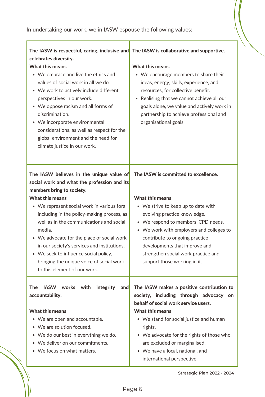| The IASW is respectful, caring, inclusive and The IASW is collaborative and supportive.<br>celebrates diversity.<br><b>What this means</b><br>• We embrace and live the ethics and<br>values of social work in all we do.<br>• We work to actively include different<br>perspectives in our work.<br>• We oppose racism and all forms of<br>discrimination.<br>• We incorporate environmental<br>considerations, as well as respect for the<br>global environment and the need for<br>climate justice in our work.  | <b>What this means</b><br>• We encourage members to share their<br>ideas, energy, skills, experience, and<br>resources, for collective benefit.<br>Realising that we cannot achieve all our<br>$\bullet$<br>goals alone, we value and actively work in<br>partnership to achieve professional and<br>organisational goals.                                         |
|---------------------------------------------------------------------------------------------------------------------------------------------------------------------------------------------------------------------------------------------------------------------------------------------------------------------------------------------------------------------------------------------------------------------------------------------------------------------------------------------------------------------|--------------------------------------------------------------------------------------------------------------------------------------------------------------------------------------------------------------------------------------------------------------------------------------------------------------------------------------------------------------------|
| The IASW believes in the unique value of<br>social work and what the profession and its<br>members bring to society.<br><b>What this means</b><br>• We represent social work in various fora,<br>including in the policy-making process, as<br>well as in the communications and social<br>media.<br>• We advocate for the place of social work<br>in our society's services and institutions.<br>• We seek to influence social policy,<br>bringing the unique voice of social work<br>to this element of our work. | The IASW is committed to excellence.<br><b>What this means</b><br>• We strive to keep up to date with<br>evolving practice knowledge.<br>• We respond to members' CPD needs.<br>• We work with employers and colleges to<br>contribute to ongoing practice<br>developments that improve and<br>strengthen social work practice and<br>support those working in it. |
| <b>The</b><br><b>IASW</b><br>works with<br>integrity<br>and<br>accountability.<br><b>What this means</b><br>• We are open and accountable.<br>• We are solution focused.<br>• We do our best in everything we do.<br>• We deliver on our commitments.<br>• We focus on what matters.                                                                                                                                                                                                                                | The IASW makes a positive contribution to<br>society, including through advocacy on<br>behalf of social work service users.<br><b>What this means</b><br>• We stand for social justice and human<br>rights.<br>• We advocate for the rights of those who<br>are excluded or marginalised.<br>• We have a local, national, and<br>international perspective.        |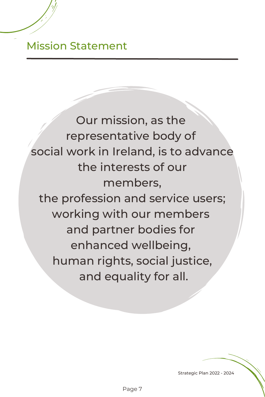### Mission Statement

Our mission, as the representative body of social work in Ireland, is to advance the interests of our members, the profession and service users; working with our members and partner bodies for enhanced wellbeing, human rights, social justice, and equality for all.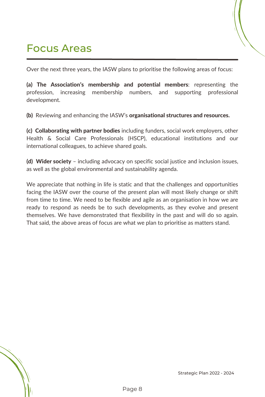# Focus Areas

Over the next three years, the IASW plans to prioritise the following areas of focus:

(a) The Association's membership and potential members: representing the profession, increasing membership numbers, and supporting professional development.

(b) Reviewing and enhancing the IASW's organisational structures and resources.

(c) Collaborating with partner bodies including funders, social work employers, other Health & Social Care Professionals (HSCP), educational institutions and our international colleagues, to achieve shared goals.

(d) Wider society – including advocacy on specific social justice and inclusion issues, as well as the global environmental and sustainability agenda.

We appreciate that nothing in life is static and that the challenges and opportunities facing the IASW over the course of the present plan will most likely change or shift from time to time. We need to be flexible and agile as an organisation in how we are ready to respond as needs be to such developments, as they evolve and present themselves. We have demonstrated that flexibility in the past and will do so again. That said, the above areas of focus are what we plan to prioritise as matters stand.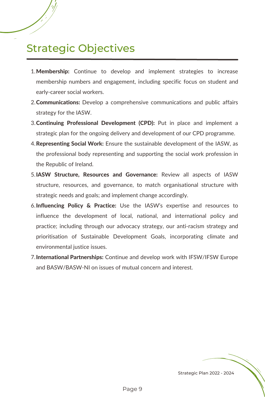# Strategic Objectives

- 1. Membership: Continue to develop and implement strategies to increase membership numbers and engagement, including specific focus on student and early-career social workers.
- 2. **Communications:** Develop a comprehensive communications and public affairs strategy for the IASW.
- 3. Continuing Professional Development (CPD): Put in place and implement a strategic plan for the ongoing delivery and development of our CPD programme.
- 4. Representing Social Work: Ensure the sustainable development of the IASW, as the professional body representing and supporting the social work profession in the Republic of Ireland.
- 5. IASW Structure, Resources and Governance: Review all aspects of IASW structure, resources, and governance, to match organisational structure with strategic needs and goals; and implement change accordingly.
- 6.Influencing Policy & Practice: Use the IASW's expertise and resources to influence the development of local, national, and international policy and practice; including through our advocacy strategy, our anti-racism strategy and prioritisation of Sustainable Development Goals, incorporating climate and environmental justice issues.
- 7. International Partnerships: Continue and develop work with IFSW/IFSW Europe and BASW/BASW-NI on issues of mutual concern and interest.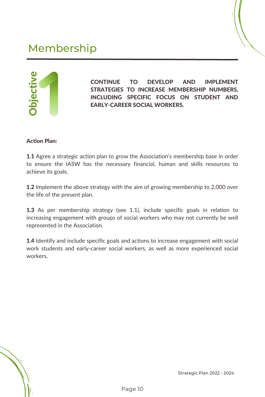# Membership



CONTINUE TO DEVELOP AND IMPLEMENT STRATEGIES TO INCREASE MEMBERSHIP NUMBERS, INCLUDING SPECIFIC FOCUS ON STUDENT AND EARLY-CAREER SOCIAL WORKERS.

#### Action Plan:

**1.1** Agree a strategic action plan to grow the Association's membership base in order to ensure the IASW has the necessary financial, human and skills resources to achieve its goals.

**1.2** Implement the above strategy with the aim of growing membership to 2,000 over the life of the present plan.

**1.3** As per membership strategy (see 1.1), include specific goals in relation to increasing engagement with groups of social workers who may not currently be well represented in the Association.

**1.4** Identify and include specific goals and actions to increase engagement with social work students and early-career social workers, as well as more experienced social workers.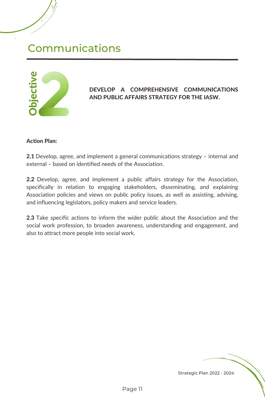### Communications



#### DEVELOP A COMPREHENSIVE COMMUNICATIONS AND PUBLIC AFFAIRS STRATEGY FOR THE IASW.

#### Action Plan:

2.1 Develop, agree, and implement a general communications strategy - internal and external – based on identified needs of the Association.

2.2 Develop, agree, and implement a public affairs strategy for the Association, specifically in relation to engaging stakeholders, disseminating, and explaining Association policies and views on public policy issues, as well as assisting, advising, and influencing legislators, policy makers and service leaders.

2.3 Take specific actions to inform the wider public about the Association and the social work profession, to broaden awareness, understanding and engagement, and also to attract more people into social work.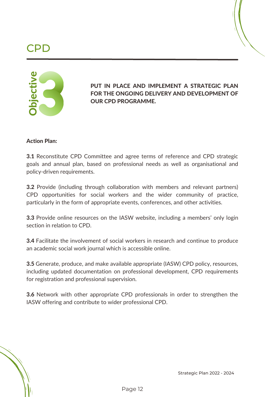### YPD 1



PUT IN PLACE AND IMPLEMENT A STRATEGIC PLAN FOR THE ONGOING DELIVERY AND DEVELOPMENT OF OUR CPD PROGRAMME.

#### Action Plan:

**3.1** Reconstitute CPD Committee and agree terms of reference and CPD strategic goals and annual plan, based on professional needs as well as organisational and policy-driven requirements.

**3.2** Provide (including through collaboration with members and relevant partners) CPD opportunities for social workers and the wider community of practice, particularly in the form of appropriate events, conferences, and other activities.

**3.3** Provide online resources on the IASW website, including a members' only login section in relation to CPD.

3.4 Facilitate the involvement of social workers in research and continue to produce an academic social work journal which is accessible online.

3.5 Generate, produce, and make available appropriate (IASW) CPD policy, resources, including updated documentation on professional development, CPD requirements for registration and professional supervision.

**3.6** Network with other appropriate CPD professionals in order to strengthen the IASW offering and contribute to wider professional CPD.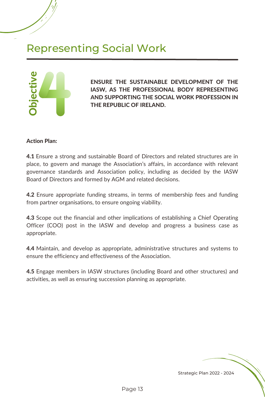# Representing Social Work



ENSURE THE SUSTAINABLE DEVELOPMENT OF THE IASW, AS THE PROFESSIONAL BODY REPRESENTING AND SUPPORTING THE SOCIAL WORK PROFESSION IN THE REPUBLIC OF IRELAND.

#### Action Plan:

4.1 Ensure a strong and sustainable Board of Directors and related structures are in place, to govern and manage the Association's affairs, in accordance with relevant governance standards and Association policy, including as decided by the IASW Board of Directors and formed by AGM and related decisions.

**4.2** Ensure appropriate funding streams, in terms of membership fees and funding from partner organisations, to ensure ongoing viability.

4.3 Scope out the financial and other implications of establishing a Chief Operating Officer (COO) post in the IASW and develop and progress a business case as appropriate.

4.4 Maintain, and develop as appropriate, administrative structures and systems to ensure the efficiency and effectiveness of the Association.

4.5 Engage members in IASW structures (including Board and other structures) and activities, as well as ensuring succession planning as appropriate.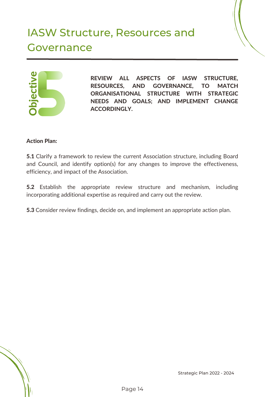# IASW Structure, Resources and Governance



REVIEW ALL ASPECTS OF IASW STRUCTURE, RESOURCES, AND GOVERNANCE, TO MATCH ORGANISATIONAL STRUCTURE WITH STRATEGIC NEEDS AND GOALS; AND IMPLEMENT CHANGE **ACCORDINGLY.** 

#### Action Plan:

5.1 Clarify a framework to review the current Association structure, including Board and Council, and identify option(s) for any changes to improve the effectiveness, efficiency, and impact of the Association.

5.2 Establish the appropriate review structure and mechanism, including incorporating additional expertise as required and carry out the review.

5.3 Consider review findings, decide on, and implement an appropriate action plan.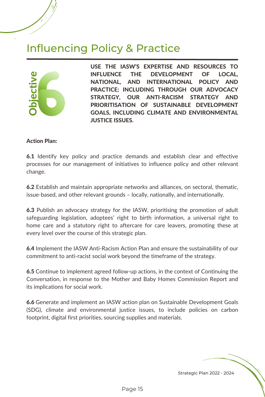### Influencing Policy & Practice



USE THE IASW'S EXPERTISE AND RESOURCES TO INFLUENCE THE DEVELOPMENT OF LOCAL, NATIONAL, AND INTERNATIONAL POLICY AND PRACTICE; INCLUDING THROUGH OUR ADVOCACY STRATEGY, OUR ANTI-RACISM STRATEGY AND PRIORITISATION OF SUSTAINABLE DEVELOPMENT GOALS, INCLUDING CLIMATE AND ENVIRONMENTAL JUSTICE ISSUES.

#### Action Plan:

6.1 Identify key policy and practice demands and establish clear and effective processes for our management of initiatives to influence policy and other relevant change.

6.2 Establish and maintain appropriate networks and alliances, on sectoral, thematic, issue-based, and other relevant grounds – locally, nationally, and internationally.

6.3 Publish an advocacy strategy for the IASW, prioritising the promotion of adult safeguarding legislation, adoptees' right to birth information, a universal right to home care and a statutory right to aftercare for care leavers, promoting these at every level over the course of this strategic plan.

6.4 Implement the IASW Anti-Racism Action Plan and ensure the sustainability of our commitment to anti-racist social work beyond the timeframe of the strategy.

6.5 Continue to implement agreed follow-up actions, in the context of Continuing the Conversation, in response to the Mother and Baby Homes Commission Report and its implications for social work.

6.6 Generate and implement an IASW action plan on Sustainable Development Goals (SDG), climate and environmental justice issues, to include policies on carbon footprint, digital first priorities, sourcing supplies and materials.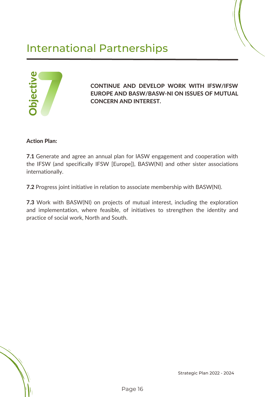# International Partnerships



CONTINUE AND DEVELOP WORK WITH IFSW/IFSW EUROPE AND BASW/BASW-NI ON ISSUES OF MUTUAL CONCERN AND INTEREST.

#### Action Plan:

7.1 Generate and agree an annual plan for IASW engagement and cooperation with the IFSW (and specifically IFSW [Europe]), BASW(NI) and other sister associations internationally.

7.2 Progress joint initiative in relation to associate membership with BASW(NI).

7.3 Work with BASW(NI) on projects of mutual interest, including the exploration and implementation, where feasible, of initiatives to strengthen the identity and practice of social work, North and South.